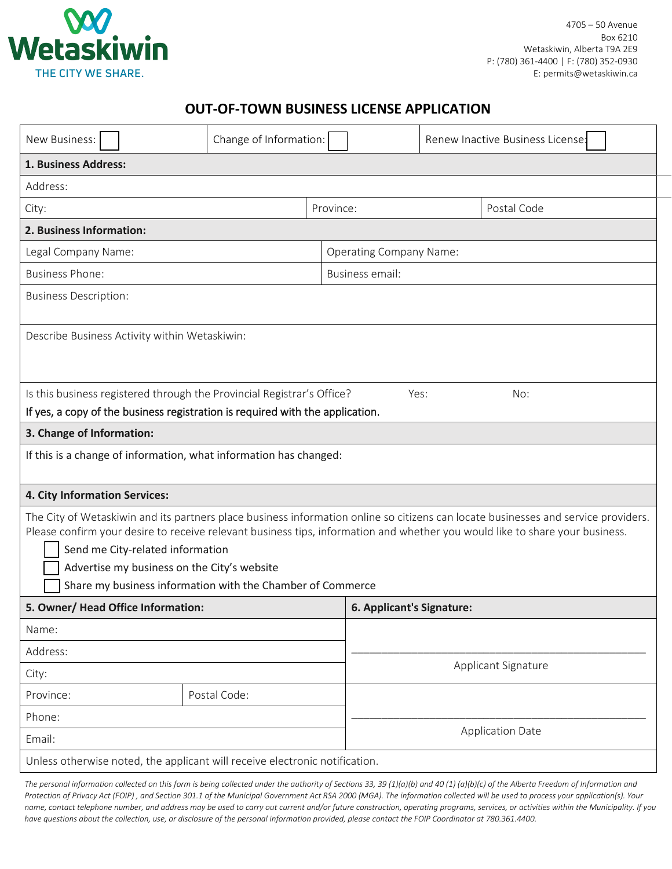

## **OUT-OF-TOWN BUSINESS LICENSE APPLICATION**

| New Business:                                                                                                                                                                                                                                                                                                                                                                                                       | Change of Information: |                                |                           |  | Renew Inactive Business License: |
|---------------------------------------------------------------------------------------------------------------------------------------------------------------------------------------------------------------------------------------------------------------------------------------------------------------------------------------------------------------------------------------------------------------------|------------------------|--------------------------------|---------------------------|--|----------------------------------|
| 1. Business Address:                                                                                                                                                                                                                                                                                                                                                                                                |                        |                                |                           |  |                                  |
| Address:                                                                                                                                                                                                                                                                                                                                                                                                            |                        |                                |                           |  |                                  |
| City:                                                                                                                                                                                                                                                                                                                                                                                                               |                        | Province:                      |                           |  | Postal Code                      |
| 2. Business Information:                                                                                                                                                                                                                                                                                                                                                                                            |                        |                                |                           |  |                                  |
| Legal Company Name:                                                                                                                                                                                                                                                                                                                                                                                                 |                        | <b>Operating Company Name:</b> |                           |  |                                  |
| <b>Business Phone:</b>                                                                                                                                                                                                                                                                                                                                                                                              |                        | Business email:                |                           |  |                                  |
| <b>Business Description:</b>                                                                                                                                                                                                                                                                                                                                                                                        |                        |                                |                           |  |                                  |
| Describe Business Activity within Wetaskiwin:                                                                                                                                                                                                                                                                                                                                                                       |                        |                                |                           |  |                                  |
| Is this business registered through the Provincial Registrar's Office?<br>Yes:<br>No:                                                                                                                                                                                                                                                                                                                               |                        |                                |                           |  |                                  |
| If yes, a copy of the business registration is required with the application.                                                                                                                                                                                                                                                                                                                                       |                        |                                |                           |  |                                  |
| 3. Change of Information:                                                                                                                                                                                                                                                                                                                                                                                           |                        |                                |                           |  |                                  |
| If this is a change of information, what information has changed:                                                                                                                                                                                                                                                                                                                                                   |                        |                                |                           |  |                                  |
| 4. City Information Services:                                                                                                                                                                                                                                                                                                                                                                                       |                        |                                |                           |  |                                  |
| The City of Wetaskiwin and its partners place business information online so citizens can locate businesses and service providers.<br>Please confirm your desire to receive relevant business tips, information and whether you would like to share your business.<br>Send me City-related information<br>Advertise my business on the City's website<br>Share my business information with the Chamber of Commerce |                        |                                |                           |  |                                  |
| 5. Owner/ Head Office Information:                                                                                                                                                                                                                                                                                                                                                                                  |                        |                                | 6. Applicant's Signature: |  |                                  |
| Name:                                                                                                                                                                                                                                                                                                                                                                                                               |                        |                                |                           |  |                                  |
| Address:                                                                                                                                                                                                                                                                                                                                                                                                            |                        |                                |                           |  |                                  |
| City:                                                                                                                                                                                                                                                                                                                                                                                                               |                        |                                | Applicant Signature       |  |                                  |
| Province:                                                                                                                                                                                                                                                                                                                                                                                                           | Postal Code:           |                                |                           |  |                                  |
| Phone:                                                                                                                                                                                                                                                                                                                                                                                                              |                        |                                |                           |  |                                  |
| Email:                                                                                                                                                                                                                                                                                                                                                                                                              |                        |                                | <b>Application Date</b>   |  |                                  |
| Unless otherwise noted, the applicant will receive electronic notification.                                                                                                                                                                                                                                                                                                                                         |                        |                                |                           |  |                                  |

*The personal information collected on this form is being collected under the authority of Sections 33, 39 (1)(a)(b) and 40 (1) (a)(b)(c) of the Alberta Freedom of Information and Protection of Privacy Act (FOIP) , and Section 301.1 of the Municipal Government Act RSA 2000 (MGA). The information collected will be used to process your application(s). Your name, contact telephone number, and address may be used to carry out current and/or future construction, operating programs, services, or activities within the Municipality. If you have questions about the collection, use, or disclosure of the personal information provided, please contact the FOIP Coordinator at 780.361.4400.*